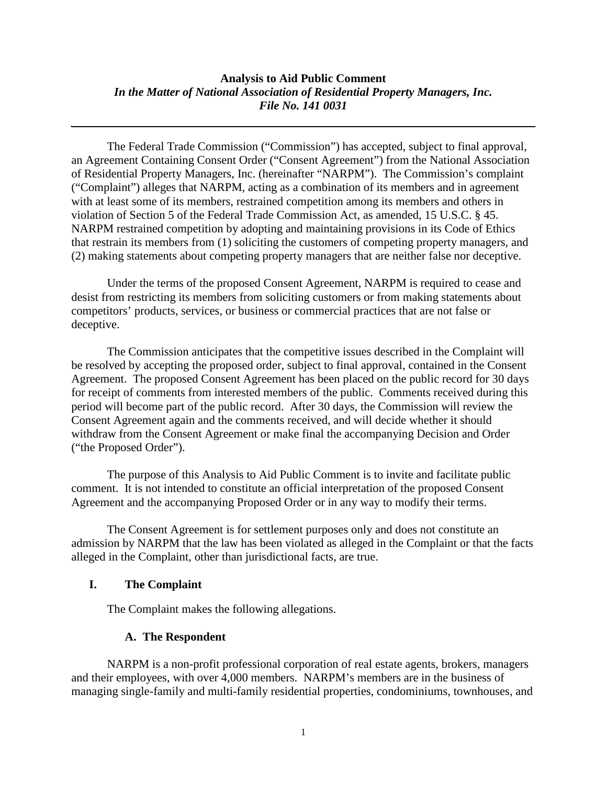## **Analysis to Aid Public Comment** *In the Matter of National Association of Residential Property Managers, Inc. File No. 141 0031*

The Federal Trade Commission ("Commission") has accepted, subject to final approval, an Agreement Containing Consent Order ("Consent Agreement") from the National Association of Residential Property Managers, Inc. (hereinafter "NARPM"). The Commission's complaint ("Complaint") alleges that NARPM, acting as a combination of its members and in agreement with at least some of its members, restrained competition among its members and others in violation of Section 5 of the Federal Trade Commission Act, as amended, 15 U.S.C. § 45. NARPM restrained competition by adopting and maintaining provisions in its Code of Ethics that restrain its members from (1) soliciting the customers of competing property managers, and (2) making statements about competing property managers that are neither false nor deceptive.

Under the terms of the proposed Consent Agreement, NARPM is required to cease and desist from restricting its members from soliciting customers or from making statements about competitors' products, services, or business or commercial practices that are not false or deceptive.

The Commission anticipates that the competitive issues described in the Complaint will be resolved by accepting the proposed order, subject to final approval, contained in the Consent Agreement. The proposed Consent Agreement has been placed on the public record for 30 days for receipt of comments from interested members of the public. Comments received during this period will become part of the public record. After 30 days, the Commission will review the Consent Agreement again and the comments received, and will decide whether it should withdraw from the Consent Agreement or make final the accompanying Decision and Order ("the Proposed Order").

The purpose of this Analysis to Aid Public Comment is to invite and facilitate public comment. It is not intended to constitute an official interpretation of the proposed Consent Agreement and the accompanying Proposed Order or in any way to modify their terms.

The Consent Agreement is for settlement purposes only and does not constitute an admission by NARPM that the law has been violated as alleged in the Complaint or that the facts alleged in the Complaint, other than jurisdictional facts, are true.

#### **I. The Complaint**

The Complaint makes the following allegations.

#### **A. The Respondent**

NARPM is a non-profit professional corporation of real estate agents, brokers, managers and their employees, with over 4,000 members. NARPM's members are in the business of managing single-family and multi-family residential properties, condominiums, townhouses, and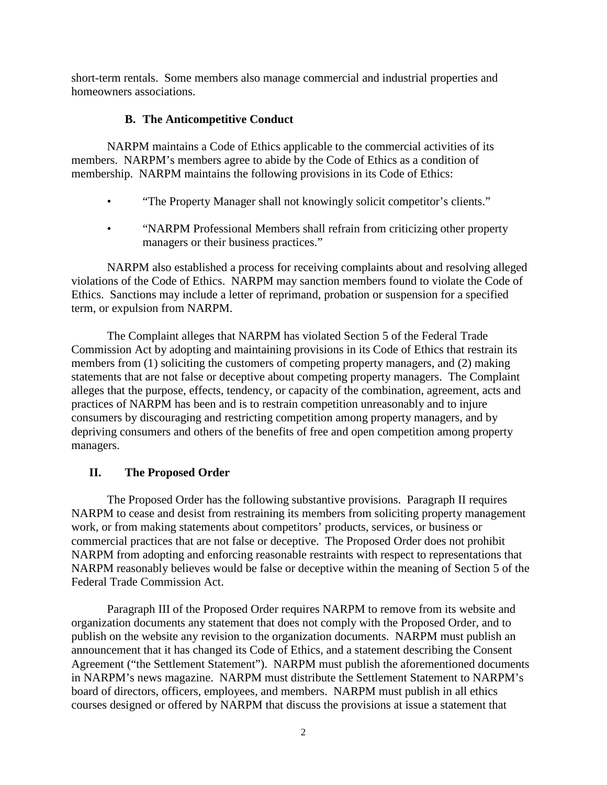short-term rentals. Some members also manage commercial and industrial properties and homeowners associations.

## **B. The Anticompetitive Conduct**

NARPM maintains a Code of Ethics applicable to the commercial activities of its members. NARPM's members agree to abide by the Code of Ethics as a condition of membership. NARPM maintains the following provisions in its Code of Ethics:

- "The Property Manager shall not knowingly solicit competitor's clients."
- "NARPM Professional Members shall refrain from criticizing other property managers or their business practices."

NARPM also established a process for receiving complaints about and resolving alleged violations of the Code of Ethics. NARPM may sanction members found to violate the Code of Ethics. Sanctions may include a letter of reprimand, probation or suspension for a specified term, or expulsion from NARPM.

The Complaint alleges that NARPM has violated Section 5 of the Federal Trade Commission Act by adopting and maintaining provisions in its Code of Ethics that restrain its members from (1) soliciting the customers of competing property managers, and (2) making statements that are not false or deceptive about competing property managers. The Complaint alleges that the purpose, effects, tendency, or capacity of the combination, agreement, acts and practices of NARPM has been and is to restrain competition unreasonably and to injure consumers by discouraging and restricting competition among property managers, and by depriving consumers and others of the benefits of free and open competition among property managers.

# **II. The Proposed Order**

The Proposed Order has the following substantive provisions. Paragraph II requires NARPM to cease and desist from restraining its members from soliciting property management work, or from making statements about competitors' products, services, or business or commercial practices that are not false or deceptive. The Proposed Order does not prohibit NARPM from adopting and enforcing reasonable restraints with respect to representations that NARPM reasonably believes would be false or deceptive within the meaning of Section 5 of the Federal Trade Commission Act.

Paragraph III of the Proposed Order requires NARPM to remove from its website and organization documents any statement that does not comply with the Proposed Order, and to publish on the website any revision to the organization documents. NARPM must publish an announcement that it has changed its Code of Ethics, and a statement describing the Consent Agreement ("the Settlement Statement"). NARPM must publish the aforementioned documents in NARPM's news magazine. NARPM must distribute the Settlement Statement to NARPM's board of directors, officers, employees, and members. NARPM must publish in all ethics courses designed or offered by NARPM that discuss the provisions at issue a statement that